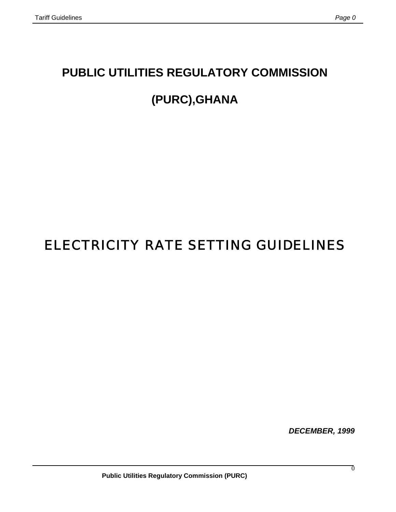# **PUBLIC UTILITIES REGULATORY COMMISSION**

# **(PURC),GHANA**

# ELECTRICITY RATE SETTING GUIDELINES

*DECEMBER, 1999*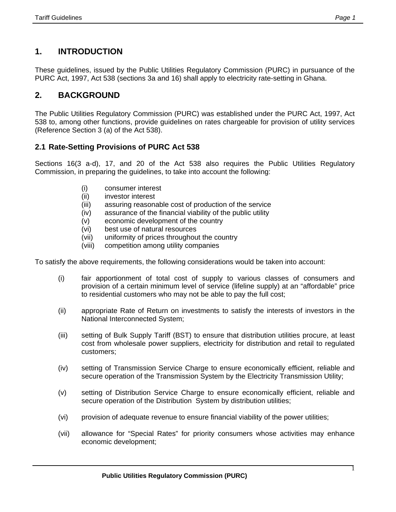# **1. INTRODUCTION**

These guidelines, issued by the Public Utilities Regulatory Commission (PURC) in pursuance of the PURC Act, 1997, Act 538 (sections 3a and 16) shall apply to electricity rate-setting in Ghana.

# **2. BACKGROUND**

The Public Utilities Regulatory Commission (PURC) was established under the PURC Act, 1997, Act 538 to, among other functions, provide guidelines on rates chargeable for provision of utility services (Reference Section 3 (a) of the Act 538).

# **2.1 Rate-Setting Provisions of PURC Act 538**

Sections 16(3 a-d), 17, and 20 of the Act 538 also requires the Public Utilities Regulatory Commission, in preparing the guidelines, to take into account the following:

- (i) consumer interest
- (ii) investor interest
- (iii) assuring reasonable cost of production of the service
- (iv) assurance of the financial viability of the public utility
- (v) economic development of the country
- (vi) best use of natural resources
- (vii) uniformity of prices throughout the country
- (viii) competition among utility companies

To satisfy the above requirements, the following considerations would be taken into account:

- (i) fair apportionment of total cost of supply to various classes of consumers and provision of a certain minimum level of service (lifeline supply) at an "affordable" price to residential customers who may not be able to pay the full cost;
- (ii) appropriate Rate of Return on investments to satisfy the interests of investors in the National Interconnected System;
- (iii) setting of Bulk Supply Tariff (BST) to ensure that distribution utilities procure, at least cost from wholesale power suppliers, electricity for distribution and retail to regulated customers;
- (iv) setting of Transmission Service Charge to ensure economically efficient, reliable and secure operation of the Transmission System by the Electricity Transmission Utility;
- (v) setting of Distribution Service Charge to ensure economically efficient, reliable and secure operation of the Distribution System by distribution utilities;
- (vi) provision of adequate revenue to ensure financial viability of the power utilities;
- (vii) allowance for "Special Rates" for priority consumers whose activities may enhance economic development;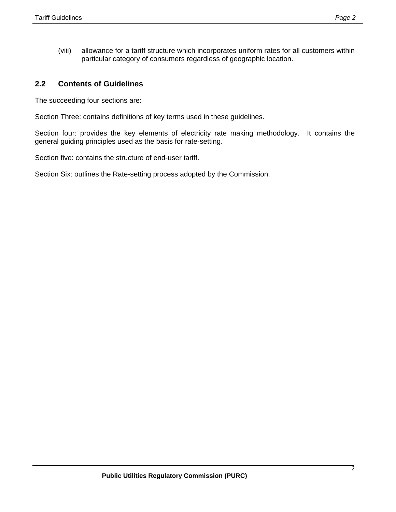(viii) allowance for a tariff structure which incorporates uniform rates for all customers within particular category of consumers regardless of geographic location.

# **2.2 Contents of Guidelines**

The succeeding four sections are:

Section Three: contains definitions of key terms used in these guidelines.

Section four: provides the key elements of electricity rate making methodology. It contains the general guiding principles used as the basis for rate-setting.

Section five: contains the structure of end-user tariff.

Section Six: outlines the Rate-setting process adopted by the Commission.

2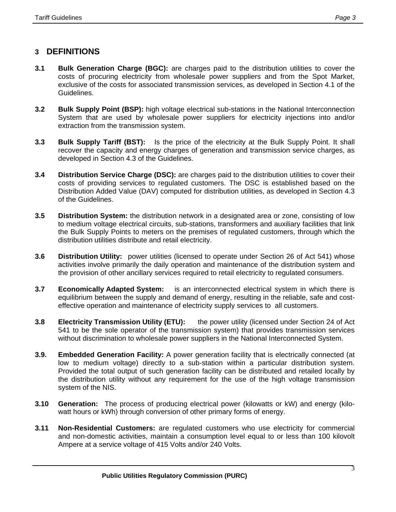# **3 DEFINITIONS**

- **3.1 Bulk Generation Charge (BGC):** are charges paid to the distribution utilities to cover the costs of procuring electricity from wholesale power suppliers and from the Spot Market, exclusive of the costs for associated transmission services, as developed in Section 4.1 of the Guidelines.
- **3.2 Bulk Supply Point (BSP):** high voltage electrical sub-stations in the National Interconnection System that are used by wholesale power suppliers for electricity injections into and/or extraction from the transmission system.
- **3.3 Bulk Supply Tariff (BST):** Is the price of the electricity at the Bulk Supply Point. It shall recover the capacity and energy charges of generation and transmission service charges, as developed in Section 4.3 of the Guidelines.
- **3.4 Distribution Service Charge (DSC):** are charges paid to the distribution utilities to cover their costs of providing services to regulated customers. The DSC is established based on the Distribution Added Value (DAV) computed for distribution utilities, as developed in Section 4.3 of the Guidelines.
- **3.5 Distribution System:** the distribution network in a designated area or zone, consisting of low to medium voltage electrical circuits, sub-stations, transformers and auxiliary facilities that link the Bulk Supply Points to meters on the premises of regulated customers, through which the distribution utilities distribute and retail electricity.
- **3.6 Distribution Utility:** power utilities (licensed to operate under Section 26 of Act 541) whose activities involve primarily the daily operation and maintenance of the distribution system and the provision of other ancillary services required to retail electricity to regulated consumers.
- **3.7 Economically Adapted System:** is an interconnected electrical system in which there is equilibrium between the supply and demand of energy, resulting in the reliable, safe and costeffective operation and maintenance of electricity supply services to all customers.
- **3.8 Electricity Transmission Utility (ETU):** the power utility (licensed under Section 24 of Act 541 to be the sole operator of the transmission system) that provides transmission services without discrimination to wholesale power suppliers in the National Interconnected System.
- **3.9. Embedded Generation Facility:** A power generation facility that is electrically connected (at low to medium voltage) directly to a sub-station within a particular distribution system. Provided the total output of such generation facility can be distributed and retailed locally by the distribution utility without any requirement for the use of the high voltage transmission system of the NIS.
- **3.10 Generation:** The process of producing electrical power (kilowatts or kW) and energy (kilowatt hours or kWh) through conversion of other primary forms of energy.
- **3.11 Non-Residential Customers:** are regulated customers who use electricity for commercial and non-domestic activities, maintain a consumption level equal to or less than 100 kilovolt Ampere at a service voltage of 415 Volts and/or 240 Volts.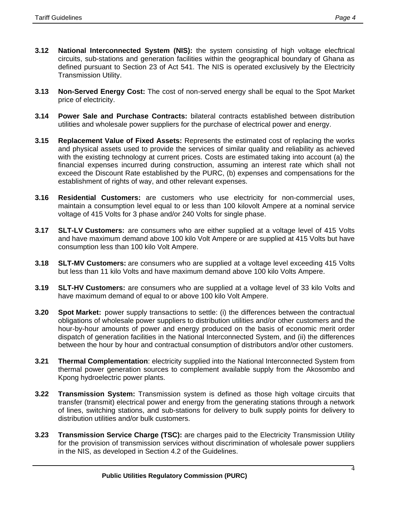- **3.12 National Interconnected System (NIS):** the system consisting of high voltage elecftrical circuits, sub-stations and generation facilities within the geographical boundary of Ghana as defined pursuant to Section 23 of Act 541. The NIS is operated exclusively by the Electricity Transmission Utility.
- **3.13 Non-Served Energy Cost:** The cost of non-served energy shall be equal to the Spot Market price of electricity.
- **3.14 Power Sale and Purchase Contracts:** bilateral contracts established between distribution utilities and wholesale power suppliers for the purchase of electrical power and energy.
- **3.15 Replacement Value of Fixed Assets:** Represents the estimated cost of replacing the works and physical assets used to provide the services of similar quality and reliability as achieved with the existing technology at current prices. Costs are estimated taking into account (a) the financial expenses incurred during construction, assuming an interest rate which shall not exceed the Discount Rate established by the PURC, (b) expenses and compensations for the establishment of rights of way, and other relevant expenses.
- **3.16 Residential Customers:** are customers who use electricity for non-commercial uses, maintain a consumption level equal to or less than 100 kilovolt Ampere at a nominal service voltage of 415 Volts for 3 phase and/or 240 Volts for single phase.
- **3.17 SLT-LV Customers:** are consumers who are either supplied at a voltage level of 415 Volts and have maximum demand above 100 kilo Volt Ampere or are supplied at 415 Volts but have consumption less than 100 kilo Volt Ampere.
- **3.18 SLT-MV Customers:** are consumers who are supplied at a voltage level exceeding 415 Volts but less than 11 kilo Volts and have maximum demand above 100 kilo Volts Ampere.
- **3.19 SLT-HV Customers:** are consumers who are supplied at a voltage level of 33 kilo Volts and have maximum demand of equal to or above 100 kilo Volt Ampere.
- **3.20 Spot Market:** power supply transactions to settle: (i) the differences between the contractual obligations of wholesale power suppliers to distribution utilities and/or other customers and the hour-by-hour amounts of power and energy produced on the basis of economic merit order dispatch of generation facilities in the National Interconnected System, and (ii) the differences between the hour by hour and contractual consumption of distributors and/or other customers.
- **3.21 Thermal Complementation**: electricity supplied into the National Interconnected System from thermal power generation sources to complement available supply from the Akosombo and Kpong hydroelectric power plants.
- **3.22 Transmission System:** Transmission system is defined as those high voltage circuits that transfer (transmit) electrical power and energy from the generating stations through a network of lines, switching stations, and sub-stations for delivery to bulk supply points for delivery to distribution utilities and/or bulk customers.
- **3.23 Transmission Service Charge (TSC):** are charges paid to the Electricity Transmission Utility for the provision of transmission services without discrimination of wholesale power suppliers in the NIS, as developed in Section 4.2 of the Guidelines.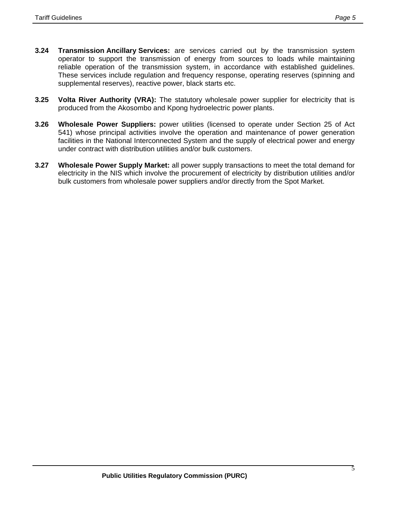- **3.24 Transmission Ancillary Services:** are services carried out by the transmission system operator to support the transmission of energy from sources to loads while maintaining reliable operation of the transmission system, in accordance with established guidelines. These services include regulation and frequency response, operating reserves (spinning and supplemental reserves), reactive power, black starts etc.
- **3.25 Volta River Authority (VRA):** The statutory wholesale power supplier for electricity that is produced from the Akosombo and Kpong hydroelectric power plants.
- **3.26 Wholesale Power Suppliers:** power utilities (licensed to operate under Section 25 of Act 541) whose principal activities involve the operation and maintenance of power generation facilities in the National Interconnected System and the supply of electrical power and energy under contract with distribution utilities and/or bulk customers.
- **3.27 Wholesale Power Supply Market:** all power supply transactions to meet the total demand for electricity in the NIS which involve the procurement of electricity by distribution utilities and/or bulk customers from wholesale power suppliers and/or directly from the Spot Market.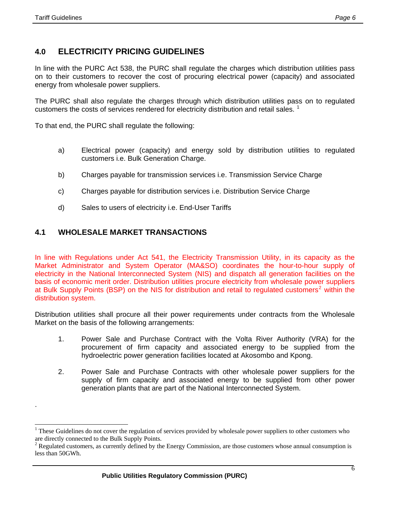.

 $\overline{a}$ 

# **4.0 ELECTRICITY PRICING GUIDELINES**

In line with the PURC Act 538, the PURC shall regulate the charges which distribution utilities pass on to their customers to recover the cost of procuring electrical power (capacity) and associated energy from wholesale power suppliers.

The PURC shall also regulate the charges through which distribution utilities pass on to regulated customers the costs of services rendered for electricity distribution and retail sales.<sup>[1](#page-6-0)</sup>

To that end, the PURC shall regulate the following:

- a) Electrical power (capacity) and energy sold by distribution utilities to regulated customers i.e. Bulk Generation Charge.
- b) Charges payable for transmission services i.e. Transmission Service Charge
- c) Charges payable for distribution services i.e. Distribution Service Charge
- d) Sales to users of electricity i.e. End-User Tariffs

# **4.1 WHOLESALE MARKET TRANSACTIONS**

In line with Regulations under Act 541, the Electricity Transmission Utility, in its capacity as the Market Administrator and System Operator (MA&SO) coordinates the hour-to-hour supply of electricity in the National Interconnected System (NIS) and dispatch all generation facilities on the basis of economic merit order. Distribution utilities procure electricity from wholesale power suppliers at Bulk Supply Points (BSP) on the NIS for distribution and retail to regulated customers<sup>[2](#page-6-1)</sup> within the distribution system.

Distribution utilities shall procure all their power requirements under contracts from the Wholesale Market on the basis of the following arrangements:

- 1. Power Sale and Purchase Contract with the Volta River Authority (VRA) for the procurement of firm capacity and associated energy to be supplied from the hydroelectric power generation facilities located at Akosombo and Kpong.
- 2. Power Sale and Purchase Contracts with other wholesale power suppliers for the supply of firm capacity and associated energy to be supplied from other power generation plants that are part of the National Interconnected System.

<span id="page-6-0"></span><sup>&</sup>lt;sup>1</sup> These Guidelines do not cover the regulation of services provided by wholesale power suppliers to other customers who are directly connected to the Bulk Supply Points.

<span id="page-6-1"></span><sup>2</sup> Regulated customers, as currently defined by the Energy Commission, are those customers whose annual consumption is less than 50GWh.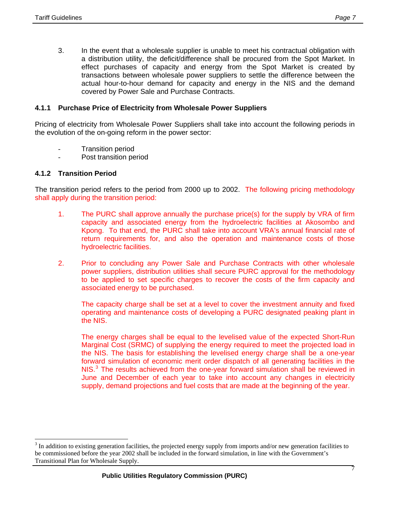3. In the event that a wholesale supplier is unable to meet his contractual obligation with a distribution utility, the deficit/difference shall be procured from the Spot Market. In effect purchases of capacity and energy from the Spot Market is created by transactions between wholesale power suppliers to settle the difference between the actual hour-to-hour demand for capacity and energy in the NIS and the demand covered by Power Sale and Purchase Contracts.

#### **4.1.1 Purchase Price of Electricity from Wholesale Power Suppliers**

Pricing of electricity from Wholesale Power Suppliers shall take into account the following periods in the evolution of the on-going reform in the power sector:

- **Transition period**
- Post transition period

#### **4.1.2 Transition Period**

Ī

 $\overline{a}$ 

The transition period refers to the period from 2000 up to 2002. The following pricing methodology shall apply during the transition period:

- 1. The PURC shall approve annually the purchase price(s) for the supply by VRA of firm capacity and associated energy from the hydroelectric facilities at Akosombo and Kpong. To that end, the PURC shall take into account VRA's annual financial rate of return requirements for, and also the operation and maintenance costs of those hydroelectric facilities.
- 2. Prior to concluding any Power Sale and Purchase Contracts with other wholesale power suppliers, distribution utilities shall secure PURC approval for the methodology to be applied to set specific charges to recover the costs of the firm capacity and associated energy to be purchased.

The capacity charge shall be set at a level to cover the investment annuity and fixed operating and maintenance costs of developing a PURC designated peaking plant in the NIS.

The energy charges shall be equal to the levelised value of the expected Short-Run Marginal Cost (SRMC) of supplying the energy required to meet the projected load in the NIS. The basis for establishing the levelised energy charge shall be a one-year forward simulation of economic merit order dispatch of all generating facilities in the NIS. $3$  The results achieved from the one-year forward simulation shall be reviewed in June and December of each year to take into account any changes in electricity supply, demand projections and fuel costs that are made at the beginning of the year.

<span id="page-7-0"></span><sup>3</sup> In addition to existing generation facilities, the projected energy supply from imports and/or new generation facilities to be commissioned before the year 2002 shall be included in the forward simulation, in line with the Government's Transitional Plan for Wholesale Supply.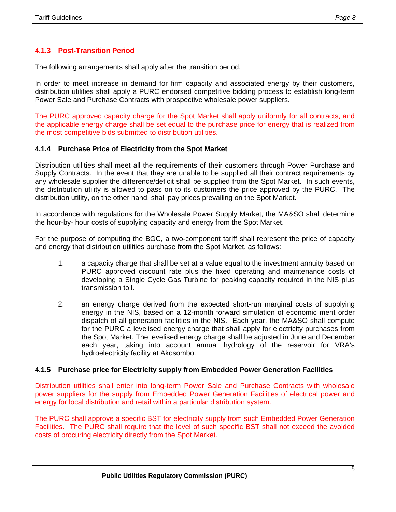# **4.1.3 Post-Transition Period**

The following arrangements shall apply after the transition period.

In order to meet increase in demand for firm capacity and associated energy by their customers, distribution utilities shall apply a PURC endorsed competitive bidding process to establish long-term Power Sale and Purchase Contracts with prospective wholesale power suppliers.

The PURC approved capacity charge for the Spot Market shall apply uniformly for all contracts, and the applicable energy charge shall be set equal to the purchase price for energy that is realized from the most competitive bids submitted to distribution utilities.

#### **4.1.4 Purchase Price of Electricity from the Spot Market**

Distribution utilities shall meet all the requirements of their customers through Power Purchase and Supply Contracts. In the event that they are unable to be supplied all their contract requirements by any wholesale supplier the difference/deficit shall be supplied from the Spot Market. In such events, the distribution utility is allowed to pass on to its customers the price approved by the PURC. The distribution utility, on the other hand, shall pay prices prevailing on the Spot Market.

In accordance with regulations for the Wholesale Power Supply Market, the MA&SO shall determine the hour-by- hour costs of supplying capacity and energy from the Spot Market.

For the purpose of computing the BGC, a two-component tariff shall represent the price of capacity and energy that distribution utilities purchase from the Spot Market, as follows:

- 1. a capacity charge that shall be set at a value equal to the investment annuity based on PURC approved discount rate plus the fixed operating and maintenance costs of developing a Single Cycle Gas Turbine for peaking capacity required in the NIS plus transmission toll.
- 2. an energy charge derived from the expected short-run marginal costs of supplying energy in the NIS, based on a 12-month forward simulation of economic merit order dispatch of all generation facilities in the NIS. Each year, the MA&SO shall compute for the PURC a levelised energy charge that shall apply for electricity purchases from the Spot Market. The levelised energy charge shall be adjusted in June and December each year, taking into account annual hydrology of the reservoir for VRA's hydroelectricity facility at Akosombo.

#### **4.1.5 Purchase price for Electricity supply from Embedded Power Generation Facilities**

Distribution utilities shall enter into long-term Power Sale and Purchase Contracts with wholesale power suppliers for the supply from Embedded Power Generation Facilities of electrical power and energy for local distribution and retail within a particular distribution system.

The PURC shall approve a specific BST for electricity supply from such Embedded Power Generation Facilities. The PURC shall require that the level of such specific BST shall not exceed the avoided costs of procuring electricity directly from the Spot Market.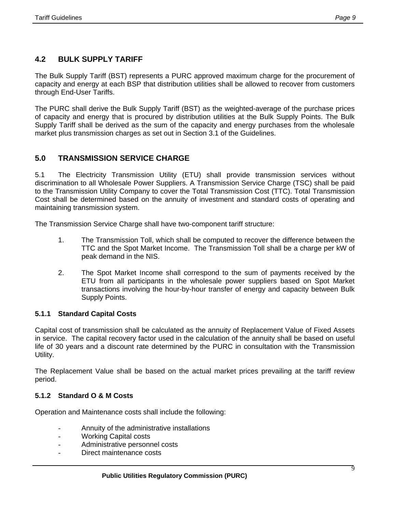# **4.2 BULK SUPPLY TARIFF**

The Bulk Supply Tariff (BST) represents a PURC approved maximum charge for the procurement of capacity and energy at each BSP that distribution utilities shall be allowed to recover from customers through End-User Tariffs.

The PURC shall derive the Bulk Supply Tariff (BST) as the weighted-average of the purchase prices of capacity and energy that is procured by distribution utilities at the Bulk Supply Points. The Bulk Supply Tariff shall be derived as the sum of the capacity and energy purchases from the wholesale market plus transmission charges as set out in Section 3.1 of the Guidelines.

# **5.0 TRANSMISSION SERVICE CHARGE**

5.1 The Electricity Transmission Utility (ETU) shall provide transmission services without discrimination to all Wholesale Power Suppliers. A Transmission Service Charge (TSC) shall be paid to the Transmission Utility Company to cover the Total Transmission Cost (TTC). Total Transmission Cost shall be determined based on the annuity of investment and standard costs of operating and maintaining transmission system.

The Transmission Service Charge shall have two-component tariff structure:

- 1. The Transmission Toll, which shall be computed to recover the difference between the TTC and the Spot Market Income. The Transmission Toll shall be a charge per kW of peak demand in the NIS.
- 2. The Spot Market Income shall correspond to the sum of payments received by the ETU from all participants in the wholesale power suppliers based on Spot Market transactions involving the hour-by-hour transfer of energy and capacity between Bulk Supply Points.

## **5.1.1 Standard Capital Costs**

Capital cost of transmission shall be calculated as the annuity of Replacement Value of Fixed Assets in service. The capital recovery factor used in the calculation of the annuity shall be based on useful life of 30 years and a discount rate determined by the PURC in consultation with the Transmission Utility.

The Replacement Value shall be based on the actual market prices prevailing at the tariff review period.

## **5.1.2 Standard O & M Costs**

Ī

Operation and Maintenance costs shall include the following:

- Annuity of the administrative installations
- Working Capital costs
- Administrative personnel costs
- Direct maintenance costs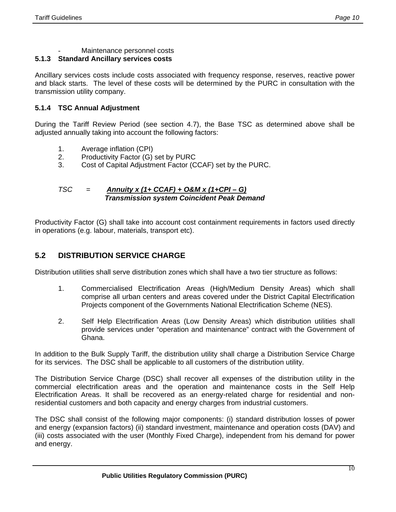Maintenance personnel costs

# **5.1.3 Standard Ancillary services costs**

Ancillary services costs include costs associated with frequency response, reserves, reactive power and black starts. The level of these costs will be determined by the PURC in consultation with the transmission utility company.

# **5.1.4 TSC Annual Adjustment**

During the Tariff Review Period (see section 4.7), the Base TSC as determined above shall be adjusted annually taking into account the following factors:

- 1. Average inflation (CPI)
- 2. Productivity Factor (G) set by PURC
- 3. Cost of Capital Adjustment Factor (CCAF) set by the PURC.

## *TSC* = *Annuity x (1+ CCAF) + O&M x (1+CPI – G) Transmission system Coincident Peak Demand*

Productivity Factor (G) shall take into account cost containment requirements in factors used directly in operations (e.g. labour, materials, transport etc).

# **5.2 DISTRIBUTION SERVICE CHARGE**

Distribution utilities shall serve distribution zones which shall have a two tier structure as follows:

- 1. Commercialised Electrification Areas (High/Medium Density Areas) which shall comprise all urban centers and areas covered under the District Capital Electrification Projects component of the Governments National Electrification Scheme (NES).
- 2. Self Help Electrification Areas (Low Density Areas) which distribution utilities shall provide services under "operation and maintenance" contract with the Government of Ghana.

In addition to the Bulk Supply Tariff, the distribution utility shall charge a Distribution Service Charge for its services. The DSC shall be applicable to all customers of the distribution utility.

The Distribution Service Charge (DSC) shall recover all expenses of the distribution utility in the commercial electrification areas and the operation and maintenance costs in the Self Help Electrification Areas. It shall be recovered as an energy-related charge for residential and nonresidential customers and both capacity and energy charges from industrial customers.

The DSC shall consist of the following major components: (i) standard distribution losses of power and energy (expansion factors) (ii) standard investment, maintenance and operation costs (DAV) and (iii) costs associated with the user (Monthly Fixed Charge), independent from his demand for power and energy.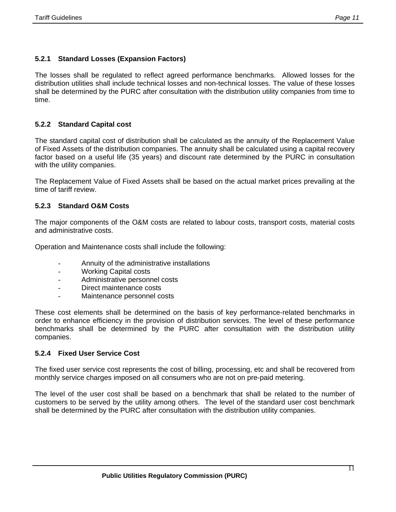# **5.2.1 Standard Losses (Expansion Factors)**

The losses shall be regulated to reflect agreed performance benchmarks. Allowed losses for the distribution utilities shall include technical losses and non-technical losses. The value of these losses shall be determined by the PURC after consultation with the distribution utility companies from time to time.

## **5.2.2 Standard Capital cost**

The standard capital cost of distribution shall be calculated as the annuity of the Replacement Value of Fixed Assets of the distribution companies. The annuity shall be calculated using a capital recovery factor based on a useful life (35 years) and discount rate determined by the PURC in consultation with the utility companies.

The Replacement Value of Fixed Assets shall be based on the actual market prices prevailing at the time of tariff review.

# **5.2.3 Standard O&M Costs**

The major components of the O&M costs are related to labour costs, transport costs, material costs and administrative costs.

Operation and Maintenance costs shall include the following:

- Annuity of the administrative installations
- Working Capital costs
- Administrative personnel costs
- Direct maintenance costs
- Maintenance personnel costs

These cost elements shall be determined on the basis of key performance-related benchmarks in order to enhance efficiency in the provision of distribution services. The level of these performance benchmarks shall be determined by the PURC after consultation with the distribution utility companies.

## **5.2.4 Fixed User Service Cost**

Ī

The fixed user service cost represents the cost of billing, processing, etc and shall be recovered from monthly service charges imposed on all consumers who are not on pre-paid metering.

The level of the user cost shall be based on a benchmark that shall be related to the number of customers to be served by the utility among others. The level of the standard user cost benchmark shall be determined by the PURC after consultation with the distribution utility companies.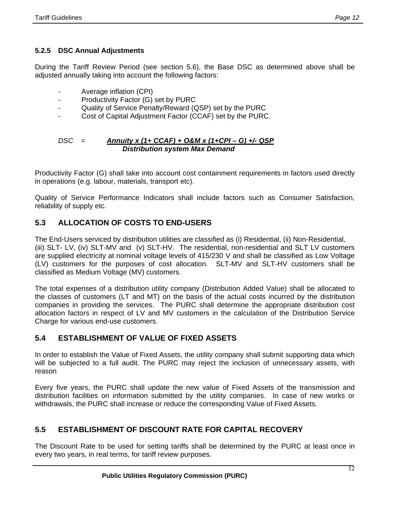# **5.2.5 DSC Annual Adjustments**

During the Tariff Review Period (see section 5.6), the Base DSC as determined above shall be adjusted annually taking into account the following factors:

- Average inflation (CPI)
- Productivity Factor (G) set by PURC
- Quality of Service Penalty/Reward (QSP) set by the PURC
- Cost of Capital Adjustment Factor (CCAF) set by the PURC.

#### *DSC* = *Annuity x (1+ CCAF) + O&M x (1+CPI – G) +/- QSP Distribution system Max Demand*

Productivity Factor (G) shall take into account cost containment requirements in factors used directly in operations (e.g. labour, materials, transport etc).

Quality of Service Performance Indicators shall include factors such as Consumer Satisfaction, reliability of supply etc.

# **5.3 ALLOCATION OF COSTS TO END-USERS**

The End-Users serviced by distribution utilities are classified as (i) Residential, (ii) Non-Residential, (iii) SLT- LV, (iv) SLT-MV and (v) SLT-HV. The residential, non-residential and SLT LV customers are supplied electricity at nominal voltage levels of 415/230 V and shall be classified as Low Voltage (LV) customers for the purposes of cost allocation. SLT-MV and SLT-HV customers shall be classified as Medium Voltage (MV) customers.

The total expenses of a distribution utility company (Distribution Added Value) shall be allocated to the classes of customers (LT and MT) on the basis of the actual costs incurred by the distribution companies in providing the services. The PURC shall determine the appropriate distribution cost allocation factors in respect of LV and MV customers in the calculation of the Distribution Service Charge for various end-use customers.

# **5.4 ESTABLISHMENT OF VALUE OF FIXED ASSETS**

In order to establish the Value of Fixed Assets, the utility company shall submit supporting data which will be subjected to a full audit. The PURC may reject the inclusion of unnecessary assets, with reason

Every five years, the PURC shall update the new value of Fixed Assets of the transmission and distribution facilities on information submitted by the utility companies. In case of new works or withdrawals, the PURC shall increase or reduce the corresponding Value of Fixed Assets.

# **5.5 ESTABLISHMENT OF DISCOUNT RATE FOR CAPITAL RECOVERY**

The Discount Rate to be used for setting tariffs shall be determined by the PURC at least once in every two years, in real terms, for tariff review purposes.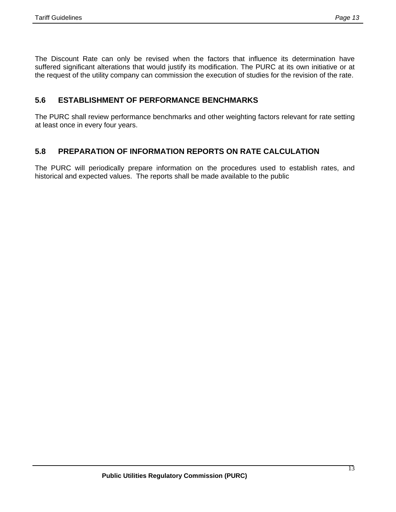The Discount Rate can only be revised when the factors that influence its determination have suffered significant alterations that would justify its modification. The PURC at its own initiative or at the request of the utility company can commission the execution of studies for the revision of the rate.

# **5.6 ESTABLISHMENT OF PERFORMANCE BENCHMARKS**

The PURC shall review performance benchmarks and other weighting factors relevant for rate setting at least once in every four years.

# **5.8 PREPARATION OF INFORMATION REPORTS ON RATE CALCULATION**

The PURC will periodically prepare information on the procedures used to establish rates, and historical and expected values. The reports shall be made available to the public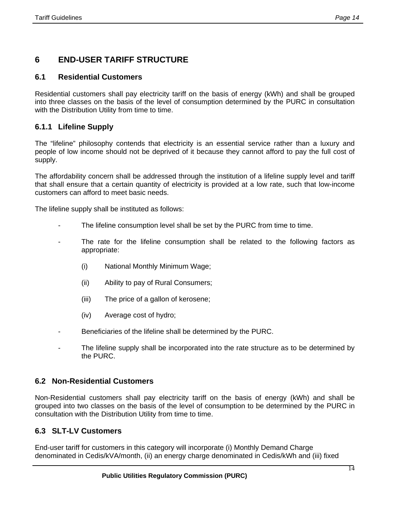# **6 END-USER TARIFF STRUCTURE**

# **6.1 Residential Customers**

Residential customers shall pay electricity tariff on the basis of energy (kWh) and shall be grouped into three classes on the basis of the level of consumption determined by the PURC in consultation with the Distribution Utility from time to time.

# **6.1.1 Lifeline Supply**

The "lifeline" philosophy contends that electricity is an essential service rather than a luxury and people of low income should not be deprived of it because they cannot afford to pay the full cost of supply.

The affordability concern shall be addressed through the institution of a lifeline supply level and tariff that shall ensure that a certain quantity of electricity is provided at a low rate, such that low-income customers can afford to meet basic needs.

The lifeline supply shall be instituted as follows:

- The lifeline consumption level shall be set by the PURC from time to time.
- The rate for the lifeline consumption shall be related to the following factors as appropriate:
	- (i) National Monthly Minimum Wage;
	- (ii) Ability to pay of Rural Consumers;
	- (iii) The price of a gallon of kerosene;
	- (iv) Average cost of hydro;
- Beneficiaries of the lifeline shall be determined by the PURC.
- The lifeline supply shall be incorporated into the rate structure as to be determined by the PURC.

## **6.2 Non-Residential Customers**

Non-Residential customers shall pay electricity tariff on the basis of energy (kWh) and shall be grouped into two classes on the basis of the level of consumption to be determined by the PURC in consultation with the Distribution Utility from time to time.

## **6.3 SLT-LV Customers**

Ī

End-user tariff for customers in this category will incorporate (i) Monthly Demand Charge denominated in Cedis/kVA/month, (ii) an energy charge denominated in Cedis/kWh and (iii) fixed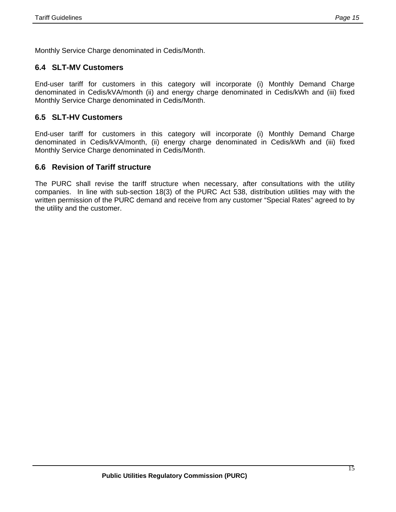Monthly Service Charge denominated in Cedis/Month.

# **6.4 SLT-MV Customers**

End-user tariff for customers in this category will incorporate (i) Monthly Demand Charge denominated in Cedis/kVA/month (ii) and energy charge denominated in Cedis/kWh and (iii) fixed Monthly Service Charge denominated in Cedis/Month.

## **6.5 SLT-HV Customers**

End-user tariff for customers in this category will incorporate (i) Monthly Demand Charge denominated in Cedis/kVA/month, (ii) energy charge denominated in Cedis/kWh and (iii) fixed Monthly Service Charge denominated in Cedis/Month.

# **6.6 Revision of Tariff structure**

The PURC shall revise the tariff structure when necessary, after consultations with the utility companies. In line with sub-section 18(3) of the PURC Act 538, distribution utilities may with the written permission of the PURC demand and receive from any customer "Special Rates" agreed to by the utility and the customer.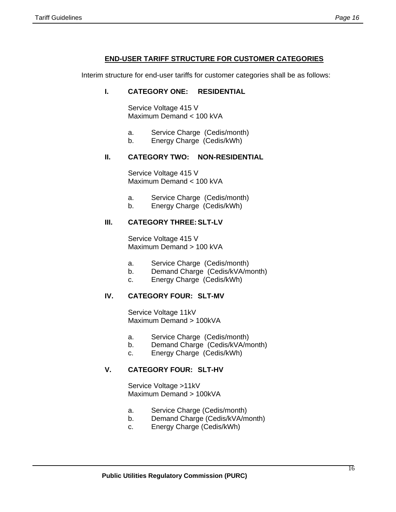#### **END-USER TARIFF STRUCTURE FOR CUSTOMER CATEGORIES**

Interim structure for end-user tariffs for customer categories shall be as follows:

#### **I. CATEGORY ONE: RESIDENTIAL**

Service Voltage 415 V Maximum Demand < 100 kVA

- a. Service Charge (Cedis/month)
- b. Energy Charge (Cedis/kWh)

#### **II. CATEGORY TWO: NON-RESIDENTIAL**

Service Voltage 415 V Maximum Demand < 100 kVA

- a. Service Charge (Cedis/month)
- b. Energy Charge (Cedis/kWh)

#### **III. CATEGORY THREE: SLT-LV**

Service Voltage 415 V Maximum Demand > 100 kVA

- a. Service Charge (Cedis/month)
- b. Demand Charge (Cedis/kVA/month)
- c. Energy Charge (Cedis/kWh)

#### **IV. CATEGORY FOUR: SLT-MV**

Service Voltage 11kV Maximum Demand > 100kVA

- a. Service Charge (Cedis/month)
- b. Demand Charge (Cedis/kVA/month)
- c. Energy Charge (Cedis/kWh)

#### **V. CATEGORY FOUR: SLT-HV**

Service Voltage >11kV Maximum Demand > 100kVA

- a. Service Charge (Cedis/month)
- b. Demand Charge (Cedis/kVA/month)
- c. Energy Charge (Cedis/kWh)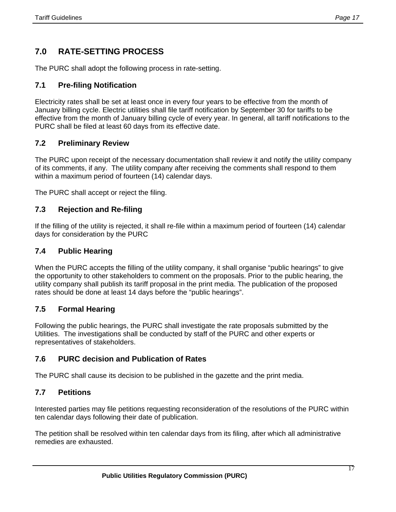# **7.0 RATE-SETTING PROCESS**

The PURC shall adopt the following process in rate-setting.

# **7.1 Pre-filing Notification**

Electricity rates shall be set at least once in every four years to be effective from the month of January billing cycle. Electric utilities shall file tariff notification by September 30 for tariffs to be effective from the month of January billing cycle of every year. In general, all tariff notifications to the PURC shall be filed at least 60 days from its effective date.

# **7.2 Preliminary Review**

The PURC upon receipt of the necessary documentation shall review it and notify the utility company of its comments, if any. The utility company after receiving the comments shall respond to them within a maximum period of fourteen (14) calendar days.

The PURC shall accept or reject the filing.

# **7.3 Rejection and Re-filing**

If the filling of the utility is rejected, it shall re-file within a maximum period of fourteen (14) calendar days for consideration by the PURC

## **7.4 Public Hearing**

When the PURC accepts the filling of the utility company, it shall organise "public hearings" to give the opportunity to other stakeholders to comment on the proposals. Prior to the public hearing, the utility company shall publish its tariff proposal in the print media. The publication of the proposed rates should be done at least 14 days before the "public hearings".

## **7.5 Formal Hearing**

Following the public hearings, the PURC shall investigate the rate proposals submitted by the Utilities. The investigations shall be conducted by staff of the PURC and other experts or representatives of stakeholders.

# **7.6 PURC decision and Publication of Rates**

The PURC shall cause its decision to be published in the gazette and the print media.

## **7.7 Petitions**

Ī

Interested parties may file petitions requesting reconsideration of the resolutions of the PURC within ten calendar days following their date of publication.

The petition shall be resolved within ten calendar days from its filing, after which all administrative remedies are exhausted.